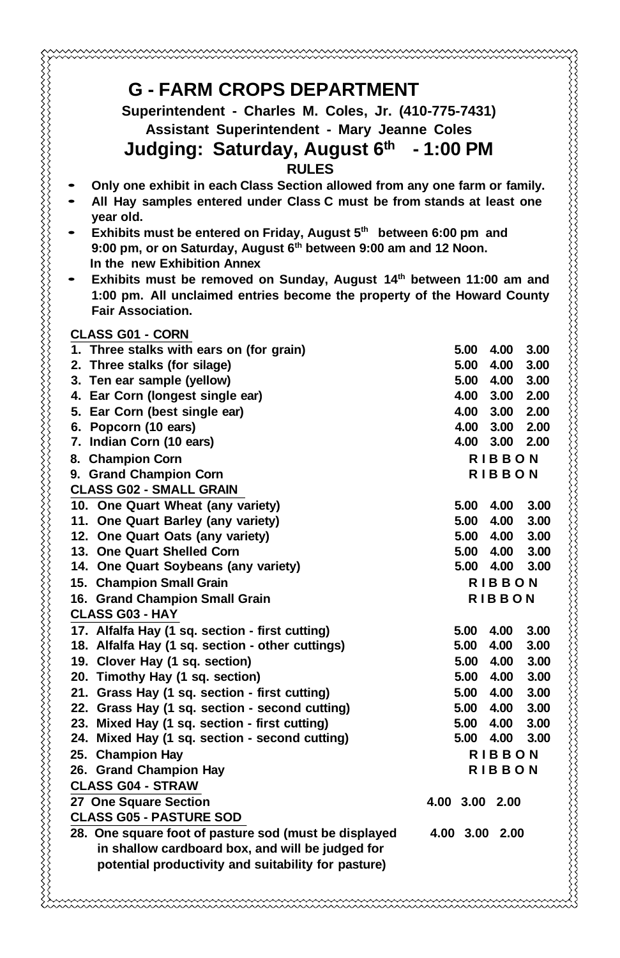| <b>G - FARM CROPS DEPARTMENT</b>                                               |                                        |
|--------------------------------------------------------------------------------|----------------------------------------|
| Superintendent - Charles M. Coles, Jr. (410-775-7431)                          |                                        |
| Assistant Superintendent - Mary Jeanne Coles                                   |                                        |
| Judging: Saturday, August 6th - 1:00 PM                                        |                                        |
| <b>RULES</b>                                                                   |                                        |
| Only one exhibit in each Class Section allowed from any one farm or family.    |                                        |
| All Hay samples entered under Class C must be from stands at least one         |                                        |
| year old.                                                                      |                                        |
| Exhibits must be entered on Friday, August 5 <sup>th</sup> between 6:00 pm and |                                        |
| 9:00 pm, or on Saturday, August 6 <sup>th</sup> between 9:00 am and 12 Noon.   |                                        |
| In the new Exhibition Annex                                                    |                                        |
| Exhibits must be removed on Sunday, August 14th between 11:00 am and           |                                        |
| 1:00 pm. All unclaimed entries become the property of the Howard County        |                                        |
| <b>Fair Association.</b>                                                       |                                        |
| <b>CLASS G01 - CORN</b>                                                        |                                        |
| 1. Three stalks with ears on (for grain)                                       | 5.00 4.00<br>3.00                      |
| 2. Three stalks (for silage)                                                   | 5.00 4.00<br>3.00                      |
| 3. Ten ear sample (yellow)<br>4. Ear Corn (longest single ear)                 | 5.00 4.00<br>3.00<br>4.00 3.00 2.00    |
| 5. Ear Corn (best single ear)                                                  | 4.00 3.00 2.00                         |
| 6. Popcorn (10 ears)                                                           | 4.00 3.00 2.00                         |
| 7. Indian Corn (10 ears)                                                       | 4.00 3.00<br>2.00                      |
| 8. Champion Corn                                                               | <b>RIBBON</b>                          |
| 9. Grand Champion Corn                                                         | <b>RIBBON</b>                          |
| <b>CLASS G02 - SMALL GRAIN</b>                                                 |                                        |
| 10. One Quart Wheat (any variety)                                              | 5.00 4.00<br>3.00                      |
| 11. One Quart Barley (any variety)                                             | 5.00 4.00<br>3.00                      |
| 12. One Quart Oats (any variety)                                               | 5.00 4.00<br>3.00                      |
| 13. One Quart Shelled Corn                                                     | 5.00 4.00<br>3.00<br>5.00 4.00<br>3.00 |
| 14. One Quart Soybeans (any variety)<br>15. Champion Small Grain               | <b>RIBBON</b>                          |
| 16. Grand Champion Small Grain                                                 | <b>RIBBON</b>                          |
| <b>CLASS G03 - HAY</b>                                                         |                                        |
| 17. Alfalfa Hay (1 sq. section - first cutting)                                | 5.00 4.00<br>3.00                      |
| 18. Alfalfa Hay (1 sq. section - other cuttings)                               | 5.00 4.00<br>3.00                      |
| 19. Clover Hay (1 sq. section)                                                 | 5.00 4.00<br>3.00                      |
| 20. Timothy Hay (1 sq. section)                                                | 5.00 4.00<br>3.00                      |
| 21. Grass Hay (1 sq. section - first cutting)                                  | 5.00 4.00<br>3.00                      |
| 22. Grass Hay (1 sq. section - second cutting)                                 | 5.00 4.00<br>3.00                      |
| 23. Mixed Hay (1 sq. section - first cutting)                                  | 5.00 4.00<br>3.00                      |
| 24. Mixed Hay (1 sq. section - second cutting)                                 | 5.00<br>4.00<br>3.00                   |
| 25. Champion Hay                                                               | <b>RIBBON</b><br><b>RIBBON</b>         |
| 26. Grand Champion Hay<br><b>CLASS G04 - STRAW</b>                             |                                        |
| 27 One Square Section                                                          | 4.00 3.00 2.00                         |
| <b>CLASS G05 - PASTURE SOD</b>                                                 |                                        |
| 28. One square foot of pasture sod (must be displayed                          | 4.00 3.00 2.00                         |
| in shallow cardboard box, and will be judged for                               |                                        |
| potential productivity and suitability for pasture)                            |                                        |